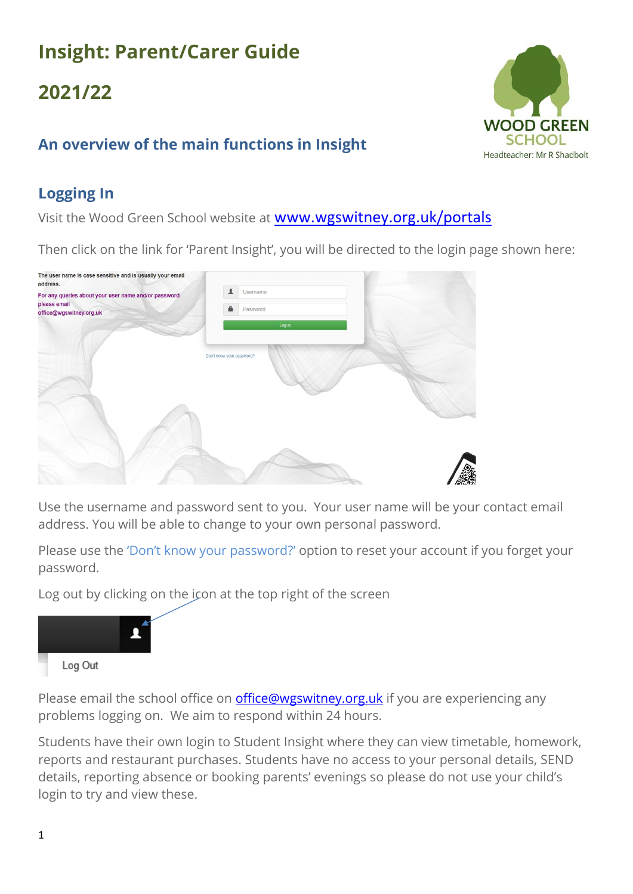# **Insight: Parent/Carer Guide**

# **2021/22**

## **An overview of the main functions in Insight**

## **Logging In**

Visit the Wood Green School website at [www.wgswitney.org.uk/portals](http://www.wgswitney.org.uk/portals)

Then click on the link for 'Parent Insight', you will be directed to the login page shown here:

| The user name is case sensitive and is usually your email<br>address. |                           |  |
|-----------------------------------------------------------------------|---------------------------|--|
| For any queries about your user name and/or password<br>please email  | ఽ<br>Username             |  |
| office@wgswitney.org.uk                                               | A<br>Password             |  |
|                                                                       | Log in                    |  |
|                                                                       | Don't know your password? |  |
|                                                                       |                           |  |
|                                                                       |                           |  |
|                                                                       |                           |  |
|                                                                       |                           |  |
|                                                                       |                           |  |
|                                                                       |                           |  |
|                                                                       |                           |  |

Use the username and password sent to you. Your user name will be your contact email address. You will be able to change to your own personal password.

Please use the 'Don't know your password?' option to reset your account if you forget your password.

Log out by clicking on the icon at the top right of the screen



Please email the school office on **office@wgswitney.org.uk** if you are experiencing any problems logging on. We aim to respond within 24 hours.

Students have their own login to Student Insight where they can view timetable, homework, reports and restaurant purchases. Students have no access to your personal details, SEND details, reporting absence or booking parents' evenings so please do not use your child's login to try and view these.

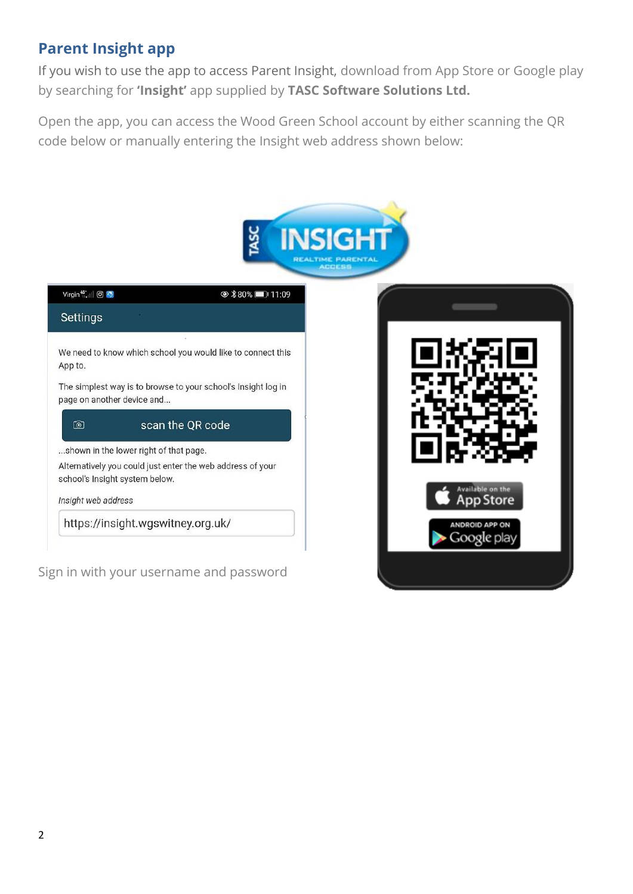### **Parent Insight app**

Sign in with your username and password

If you wish to use the app to access Parent Insight, download from App Store or Google play by searching for **'Insight'** app supplied by **TASC Software Solutions Ltd.**

Open the app, you can access the Wood Green School account by either scanning the QR code below or manually entering the Insight web address shown below:



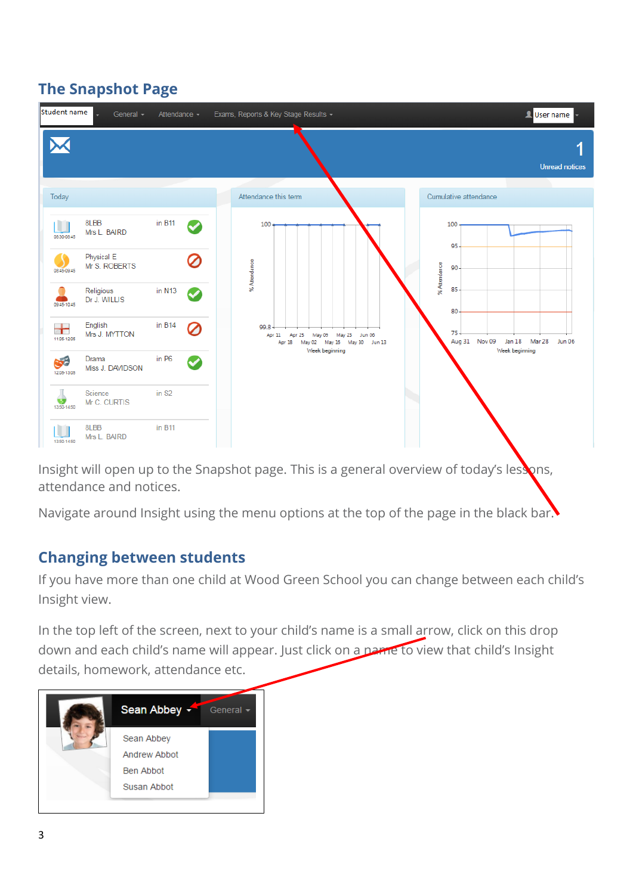## **The Snapshot Page**



Insight will open up to the Snapshot page. This is a general overview of today's lessons, attendance and notices.

Navigate around Insight using the menu options at the top of the page in the black bar.

#### **Changing between students**

If you have more than one child at Wood Green School you can change between each child's Insight view.

In the top left of the screen, next to your child's name is a small arrow, click on this drop down and each child's name will appear. Just click on a name to view that child's Insight details, homework, attendance etc.

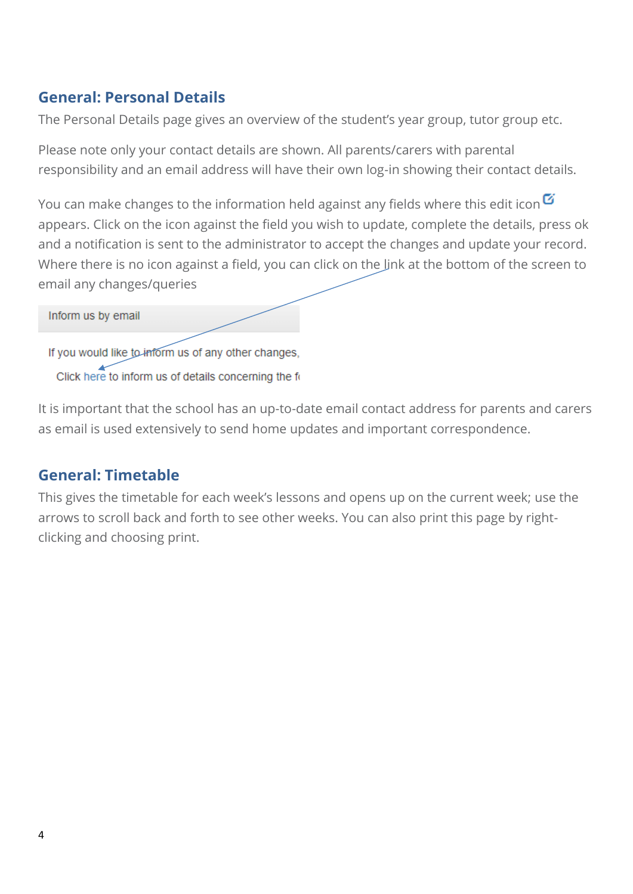### **General: Personal Details**

The Personal Details page gives an overview of the student's year group, tutor group etc.

Please note only your contact details are shown. All parents/carers with parental responsibility and an email address will have their own log-in showing their contact details.

You can make changes to the information held against any fields where this edit icon $\mathbf G$ appears. Click on the icon against the field you wish to update, complete the details, press ok and a notification is sent to the administrator to accept the changes and update your record. Where there is no icon against a field, you can click on the link at the bottom of the screen to email any changes/queries

#### Inform us by email

If you would like to inform us of any other changes, Click here to inform us of details concerning the fo

It is important that the school has an up-to-date email contact address for parents and carers as email is used extensively to send home updates and important correspondence.

#### **General: Timetable**

This gives the timetable for each week's lessons and opens up on the current week; use the arrows to scroll back and forth to see other weeks. You can also print this page by rightclicking and choosing print.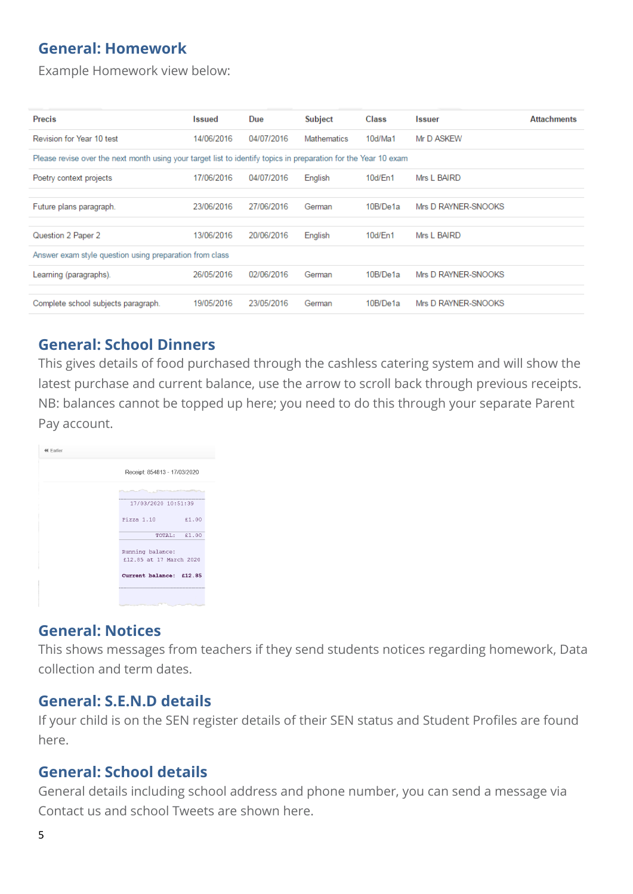### **General: Homework**

Example Homework view below:

| <b>Precis</b>                                                                                                   | <b>Issued</b> | Due        | <b>Subject</b> | <b>Class</b> | <b>Issuer</b>       | <b>Attachments</b> |  |
|-----------------------------------------------------------------------------------------------------------------|---------------|------------|----------------|--------------|---------------------|--------------------|--|
| Revision for Year 10 test                                                                                       | 14/06/2016    | 04/07/2016 | Mathematics    | 10d/Ma1      | Mr D ASKEW          |                    |  |
| Please revise over the next month using your target list to identify topics in preparation for the Year 10 exam |               |            |                |              |                     |                    |  |
| Poetry context projects                                                                                         | 17/06/2016    | 04/07/2016 | English        | 10d/En1      | Mrs L BAIRD         |                    |  |
|                                                                                                                 |               |            |                |              |                     |                    |  |
| Future plans paragraph.                                                                                         | 23/06/2016    | 27/06/2016 | German         | 10B/De1a     | Mrs D RAYNER-SNOOKS |                    |  |
|                                                                                                                 |               |            |                |              |                     |                    |  |
| Question 2 Paper 2                                                                                              | 13/06/2016    | 20/06/2016 | English        | 10d/En1      | Mrs L BAIRD         |                    |  |
| Answer exam style question using preparation from class                                                         |               |            |                |              |                     |                    |  |
| Learning (paragraphs).                                                                                          | 26/05/2016    | 02/06/2016 | German         | 10B/De1a     | Mrs D RAYNER-SNOOKS |                    |  |
|                                                                                                                 |               |            |                |              |                     |                    |  |
| Complete school subjects paragraph.                                                                             | 19/05/2016    | 23/05/2016 | German         | 10B/De1a     | Mrs D RAYNER-SNOOKS |                    |  |

#### **General: School Dinners**

This gives details of food purchased through the cashless catering system and will show the latest purchase and current balance, use the arrow to scroll back through previous receipts. NB: balances cannot be topped up here; you need to do this through your separate Parent Pay account.



#### **General: Notices**

This shows messages from teachers if they send students notices regarding homework, Data collection and term dates.

#### **General: S.E.N.D details**

If your child is on the SEN register details of their SEN status and Student Profiles are found here.

#### **General: School details**

General details including school address and phone number, you can send a message via Contact us and school Tweets are shown here.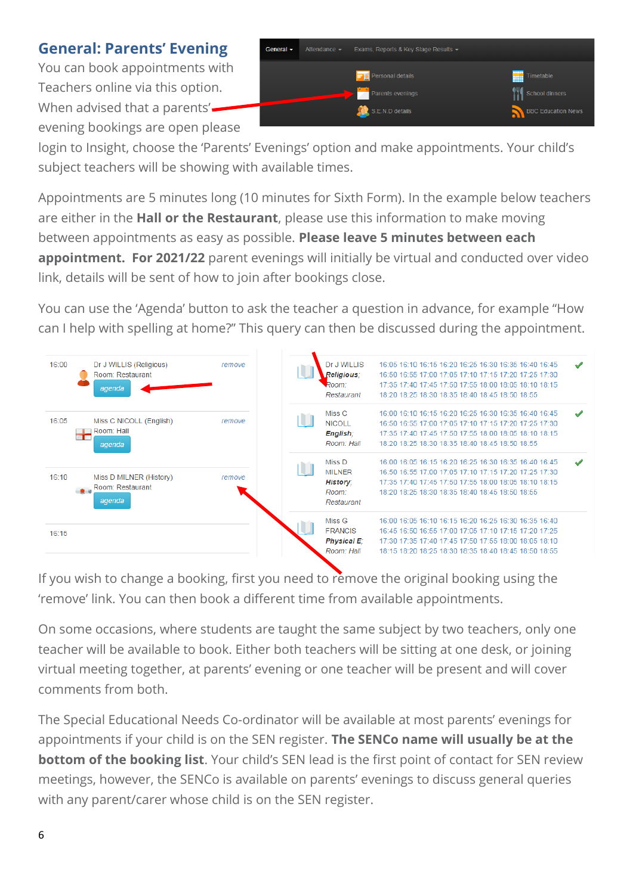**General: Parents' Evening**

You can book appointments with Teachers online via this option. When advised that a parents'evening bookings are open please



login to Insight, choose the 'Parents' Evenings' option and make appointments. Your child's subject teachers will be showing with available times.

Appointments are 5 minutes long (10 minutes for Sixth Form). In the example below teachers are either in the **Hall or the Restaurant**, please use this information to make moving between appointments as easy as possible. **Please leave 5 minutes between each appointment. For 2021/22** parent evenings will initially be virtual and conducted over video link, details will be sent of how to join after bookings close.

You can use the 'Agenda' button to ask the teacher a question in advance, for example "How can I help with spelling at home?" This query can then be discussed during the appointment.

| 16:00<br>Dr J WILLIS (Religious)<br>Room: Restaurant<br>agenda         | remove | Dr J WILLIS<br>Religious:<br>Room:<br>Restaurant                  | 16:05 16:10 16:15 16:20 16:25 16:30 16:35 16:40 16:45<br>16:50 16:55 17:00 17:05 17:10 17:15 17:20 17:25 17:30<br>17:35 17:40 17:45 17:50 17:55 18:00 18:05 18:10 18:15<br>18:20 18:25 18:30 18:35 18:40 18:45 18:50 18:55       |  |
|------------------------------------------------------------------------|--------|-------------------------------------------------------------------|----------------------------------------------------------------------------------------------------------------------------------------------------------------------------------------------------------------------------------|--|
| 16:05<br>Miss C NICOLL (English)<br>Room: Hall<br><b>TE</b><br>agenda  | remove | Miss C<br>NICOLL.<br>English:<br>Room: Hall                       | 16:00 16:10 16:15 16:20 16:25 16:30 16:35 16:40 16:45<br>16:50 16:55 17:00 17:05 17:10 17:15 17:20 17:25 17:30<br>17:35 17:40 17:45 17:50 17:55 18:00 18:05 18:10 18:15<br>18:20 18:25 18:30 18:35 18:40 18:45 18:50 18:55       |  |
| 16:10<br>Miss D MILNER (History)<br>Room: Restaurant<br>$-2$<br>agenda | remove | Miss D<br><b>MILNER</b><br><b>History:</b><br>Room:<br>Restaurant | 16:00 16:05 16:15 16:20 16:25 16:30 16:35 16:40 16:45<br>16:50 16:55 17:00 17:05 17:10 17:15 17:20 17:25 17:30<br>17:35 17:40 17:45 17:50 17:55 18:00 18:05 18:10 18:15<br>18:20 18:25 18:30 18:35 18:40 18:45 18:50 18:55       |  |
| 16:15                                                                  |        | Miss G<br><b>FRANCIS</b><br><b>Physical E:</b><br>Room: Hall      | 16:00 16:05 16:10 16:15 16:20 16:25 16:30 16:35 16:40<br>16:45 16:50 16:55 17:00 17:05 17:10 17:15 17:20 17:25<br>17:30 17:35 17:40 17:45 17:50 17:55 18:00 18:05 18:10<br>18:15 18:20 18:25 18:30 18:35 18:40 18:45 18:50 18:55 |  |

If you wish to change a booking, first you need to remove the original booking using the 'remove' link. You can then book a different time from available appointments.

On some occasions, where students are taught the same subject by two teachers, only one teacher will be available to book. Either both teachers will be sitting at one desk, or joining virtual meeting together, at parents' evening or one teacher will be present and will cover comments from both.

The Special Educational Needs Co-ordinator will be available at most parents' evenings for appointments if your child is on the SEN register. **The SENCo name will usually be at the bottom of the booking list**. Your child's SEN lead is the first point of contact for SEN review meetings, however, the SENCo is available on parents' evenings to discuss general queries with any parent/carer whose child is on the SEN register.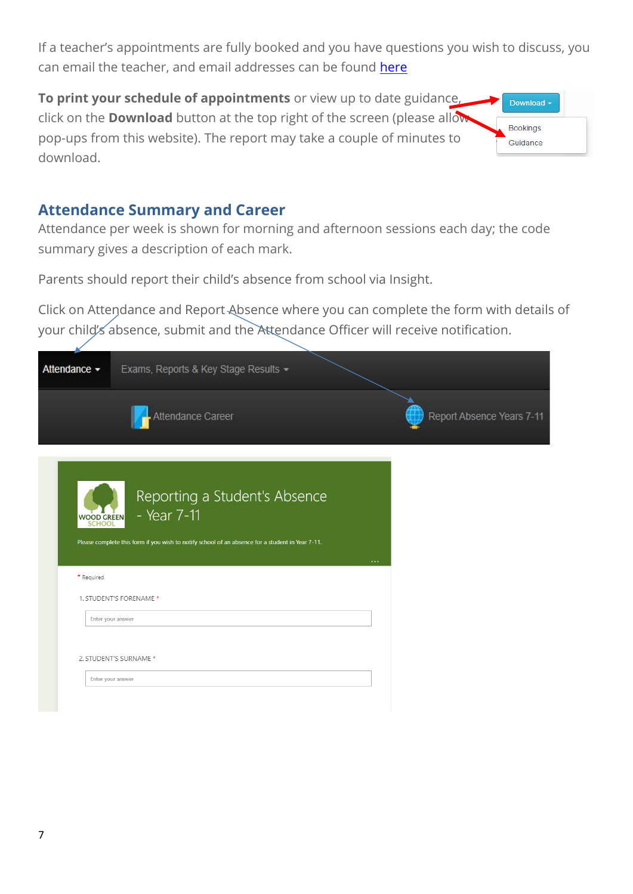If a teacher's appointments are fully booked and you have questions you wish to discuss, you can email the teacher, and email addresses can be found [here](https://wgswitney.org.uk/contacts)

**To print your schedule of appointments** or view up to date guidance, click on the **Download** button at the top right of the screen (please allow pop-ups from this website). The report may take a couple of minutes to download.

## Download -**Bookings** Guidance

#### **Attendance Summary and Career**

Attendance per week is shown for morning and afternoon sessions each day; the code summary gives a description of each mark.

Parents should report their child's absence from school via Insight.

Click on Attendance and Report Absence where you can complete the form with details of your child's absence, submit and the Attendance Officer will receive notification.

| Attendance - | Exams, Reports & Key Stage Results -                                                                                                             |                           |
|--------------|--------------------------------------------------------------------------------------------------------------------------------------------------|---------------------------|
|              | Attendance Career                                                                                                                                | Report Absence Years 7-11 |
| WOOD GREEN   | Reporting a Student's Absence<br>- Year 7-11<br>Please complete this form if you wish to notify school of an absence for a student in Year 7-11. | $\sim$ $\sim$             |
| * Required   |                                                                                                                                                  |                           |
|              | 1. STUDENT'S FORENAME *                                                                                                                          |                           |
|              | Enter your answer                                                                                                                                |                           |
|              | 2. STUDENT'S SURNAME *<br>Enter your answer                                                                                                      |                           |